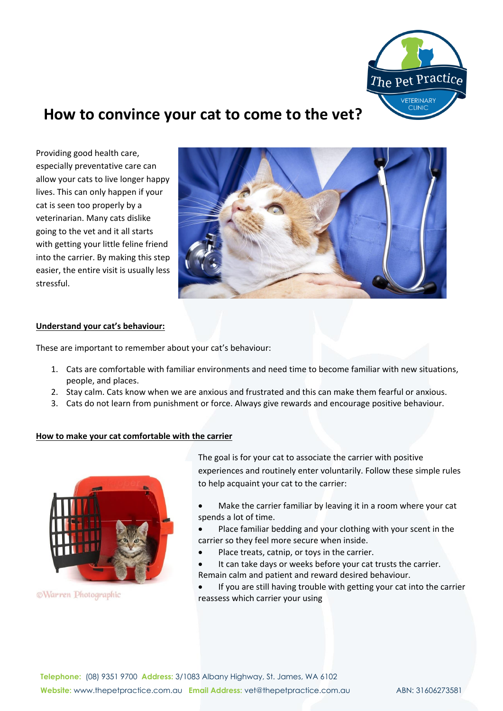

## **How to convince your cat to come to the vet?**

Providing good health care, especially preventative care can allow your cats to live longer happy lives. This can only happen if your cat is seen too properly by a veterinarian. Many cats dislike going to the vet and it all starts with getting your little feline friend into the carrier. By making this step easier, the entire visit is usually less stressful.



## **Understand your cat's behaviour:**

These are important to remember about your cat's behaviour:

- 1. Cats are comfortable with familiar environments and need time to become familiar with new situations, people, and places.
- 2. Stay calm. Cats know when we are anxious and frustrated and this can make them fearful or anxious.
- 3. Cats do not learn from punishment or force. Always give rewards and encourage positive behaviour.

#### **How to make your cat comfortable with the carrier**



©Warren Photographic

The goal is for your cat to associate the carrier with positive experiences and routinely enter voluntarily. Follow these simple rules to help acquaint your cat to the carrier:

• Make the carrier familiar by leaving it in a room where your cat spends a lot of time.

- Place familiar bedding and your clothing with your scent in the carrier so they feel more secure when inside.
- Place treats, catnip, or toys in the carrier.
- It can take days or weeks before your cat trusts the carrier. Remain calm and patient and reward desired behaviour.
- If you are still having trouble with getting your cat into the carrier reassess which carrier your using